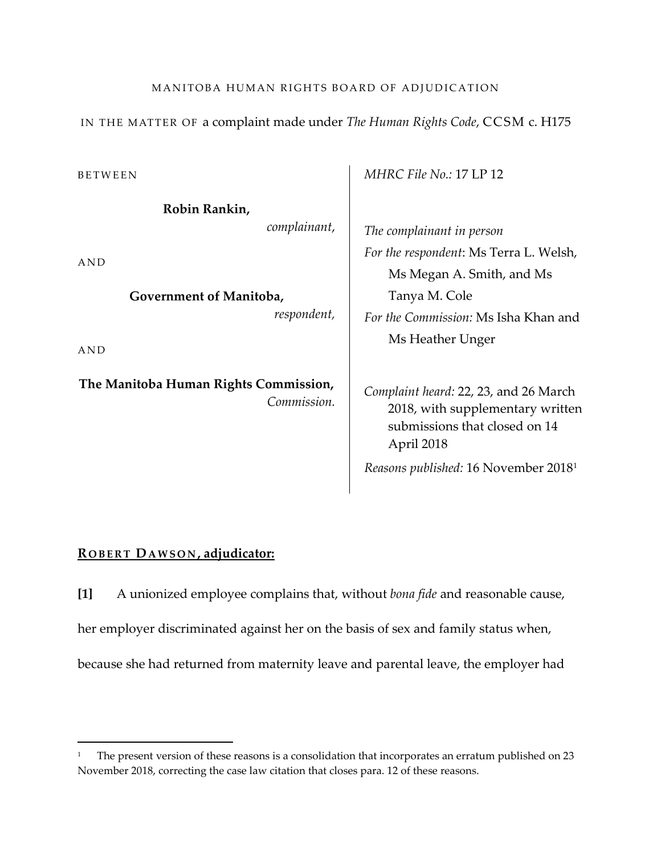# MANITOBA HUMAN RIGHTS BOARD OF ADJUDICATION

IN THE MATTER OF a complaint made under *The Human Rights Code*, CCSM c. H175

BETWEEN

**Robin Rankin,** 

*complainant*,

AND

**Government of Manitoba,**  *respondent,*

AND

 $\overline{\phantom{a}}$ 

**The Manitoba Human Rights Commission,** *Commission.* *MHRC File No.:* 17 LP 12

*The complainant in person For the respondent*: Ms Terra L. Welsh, Ms Megan A. Smith, and Ms Tanya M. Cole *For the Commission:* Ms Isha Khan and Ms Heather Unger

*Complaint heard:* 22, 23, and 26 March 2018, with supplementary written submissions that closed on 14 April 2018

*Reasons published:* 16 November 20181

### **R OBERT DAWSON , adjudicator:**

**[1]** A unionized employee complains that, without *bona fide* and reasonable cause, her employer discriminated against her on the basis of sex and family status when, because she had returned from maternity leave and parental leave, the employer had

<sup>1</sup> The present version of these reasons is a consolidation that incorporates an erratum published on 23 November 2018, correcting the case law citation that closes para. 12 of these reasons.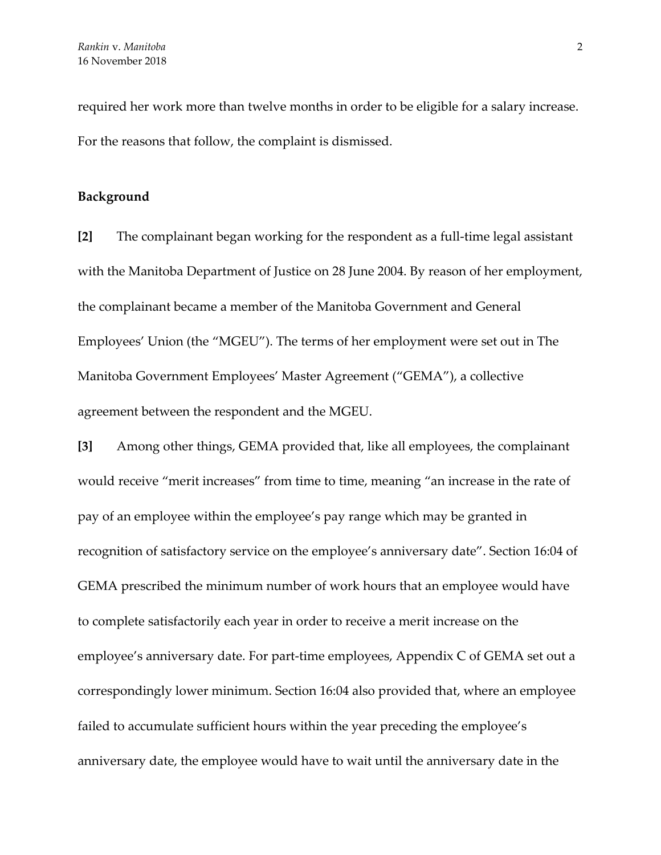required her work more than twelve months in order to be eligible for a salary increase. For the reasons that follow, the complaint is dismissed.

#### **Background**

**[2]** The complainant began working for the respondent as a full-time legal assistant with the Manitoba Department of Justice on 28 June 2004. By reason of her employment, the complainant became a member of the Manitoba Government and General Employees' Union (the "MGEU"). The terms of her employment were set out in The Manitoba Government Employees' Master Agreement ("GEMA"), a collective agreement between the respondent and the MGEU.

**[3]** Among other things, GEMA provided that, like all employees, the complainant would receive "merit increases" from time to time, meaning "an increase in the rate of pay of an employee within the employee's pay range which may be granted in recognition of satisfactory service on the employee's anniversary date". Section 16:04 of GEMA prescribed the minimum number of work hours that an employee would have to complete satisfactorily each year in order to receive a merit increase on the employee's anniversary date. For part-time employees, Appendix C of GEMA set out a correspondingly lower minimum. Section 16:04 also provided that, where an employee failed to accumulate sufficient hours within the year preceding the employee's anniversary date, the employee would have to wait until the anniversary date in the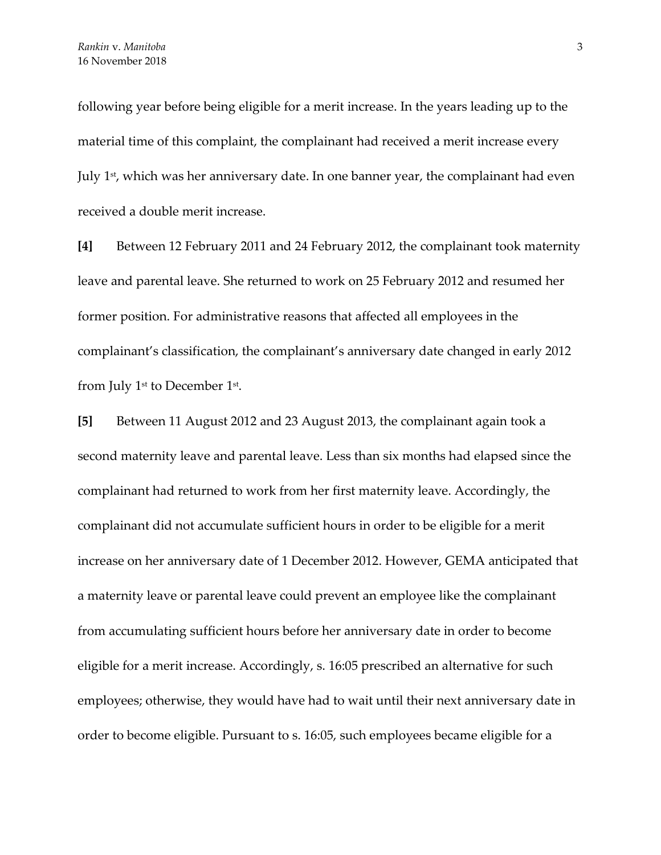following year before being eligible for a merit increase. In the years leading up to the material time of this complaint, the complainant had received a merit increase every July 1st, which was her anniversary date. In one banner year, the complainant had even received a double merit increase.

**[4]** Between 12 February 2011 and 24 February 2012, the complainant took maternity leave and parental leave. She returned to work on 25 February 2012 and resumed her former position. For administrative reasons that affected all employees in the complainant's classification, the complainant's anniversary date changed in early 2012 from July 1st to December 1st.

**[5]** Between 11 August 2012 and 23 August 2013, the complainant again took a second maternity leave and parental leave. Less than six months had elapsed since the complainant had returned to work from her first maternity leave. Accordingly, the complainant did not accumulate sufficient hours in order to be eligible for a merit increase on her anniversary date of 1 December 2012. However, GEMA anticipated that a maternity leave or parental leave could prevent an employee like the complainant from accumulating sufficient hours before her anniversary date in order to become eligible for a merit increase. Accordingly, s. 16:05 prescribed an alternative for such employees; otherwise, they would have had to wait until their next anniversary date in order to become eligible. Pursuant to s. 16:05, such employees became eligible for a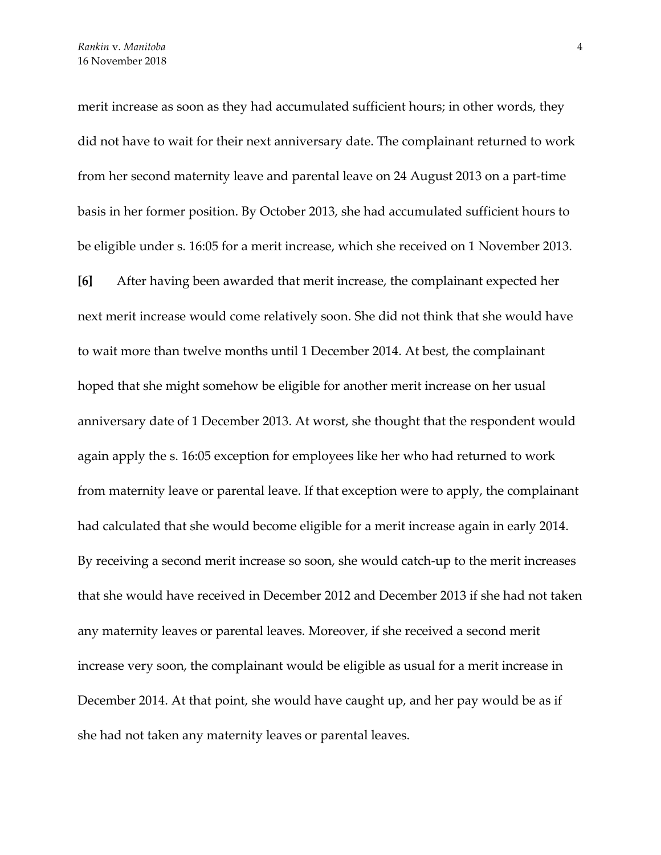merit increase as soon as they had accumulated sufficient hours; in other words, they did not have to wait for their next anniversary date. The complainant returned to work from her second maternity leave and parental leave on 24 August 2013 on a part-time basis in her former position. By October 2013, she had accumulated sufficient hours to be eligible under s. 16:05 for a merit increase, which she received on 1 November 2013.

**[6]** After having been awarded that merit increase, the complainant expected her next merit increase would come relatively soon. She did not think that she would have to wait more than twelve months until 1 December 2014. At best, the complainant hoped that she might somehow be eligible for another merit increase on her usual anniversary date of 1 December 2013. At worst, she thought that the respondent would again apply the s. 16:05 exception for employees like her who had returned to work from maternity leave or parental leave. If that exception were to apply, the complainant had calculated that she would become eligible for a merit increase again in early 2014. By receiving a second merit increase so soon, she would catch-up to the merit increases that she would have received in December 2012 and December 2013 if she had not taken any maternity leaves or parental leaves. Moreover, if she received a second merit increase very soon, the complainant would be eligible as usual for a merit increase in December 2014. At that point, she would have caught up, and her pay would be as if she had not taken any maternity leaves or parental leaves.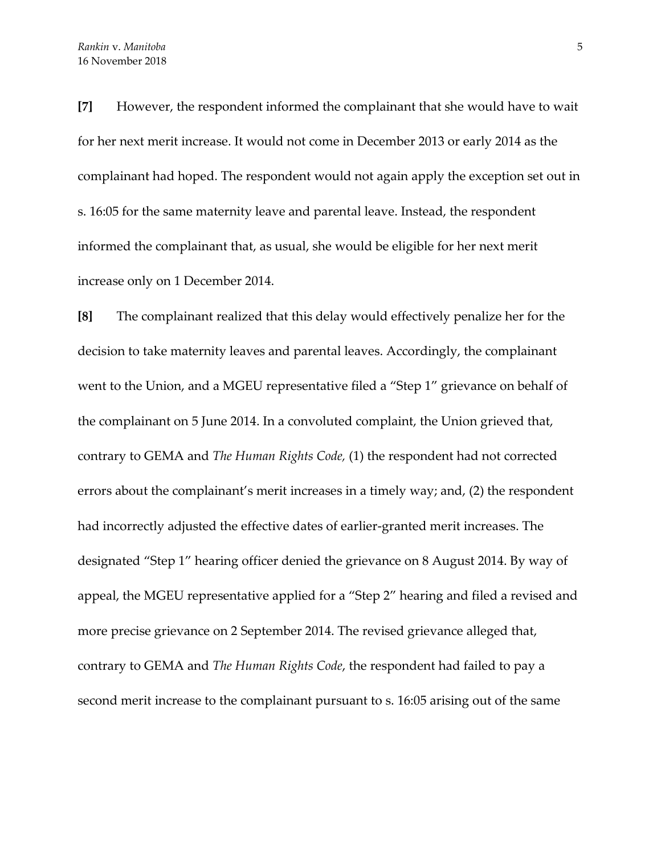**[7]** However, the respondent informed the complainant that she would have to wait for her next merit increase. It would not come in December 2013 or early 2014 as the complainant had hoped. The respondent would not again apply the exception set out in s. 16:05 for the same maternity leave and parental leave. Instead, the respondent informed the complainant that, as usual, she would be eligible for her next merit increase only on 1 December 2014.

**[8]** The complainant realized that this delay would effectively penalize her for the decision to take maternity leaves and parental leaves. Accordingly, the complainant went to the Union, and a MGEU representative filed a "Step 1" grievance on behalf of the complainant on 5 June 2014. In a convoluted complaint, the Union grieved that, contrary to GEMA and *The Human Rights Code,* (1) the respondent had not corrected errors about the complainant's merit increases in a timely way; and, (2) the respondent had incorrectly adjusted the effective dates of earlier-granted merit increases. The designated "Step 1" hearing officer denied the grievance on 8 August 2014. By way of appeal, the MGEU representative applied for a "Step 2" hearing and filed a revised and more precise grievance on 2 September 2014. The revised grievance alleged that, contrary to GEMA and *The Human Rights Code*, the respondent had failed to pay a second merit increase to the complainant pursuant to s. 16:05 arising out of the same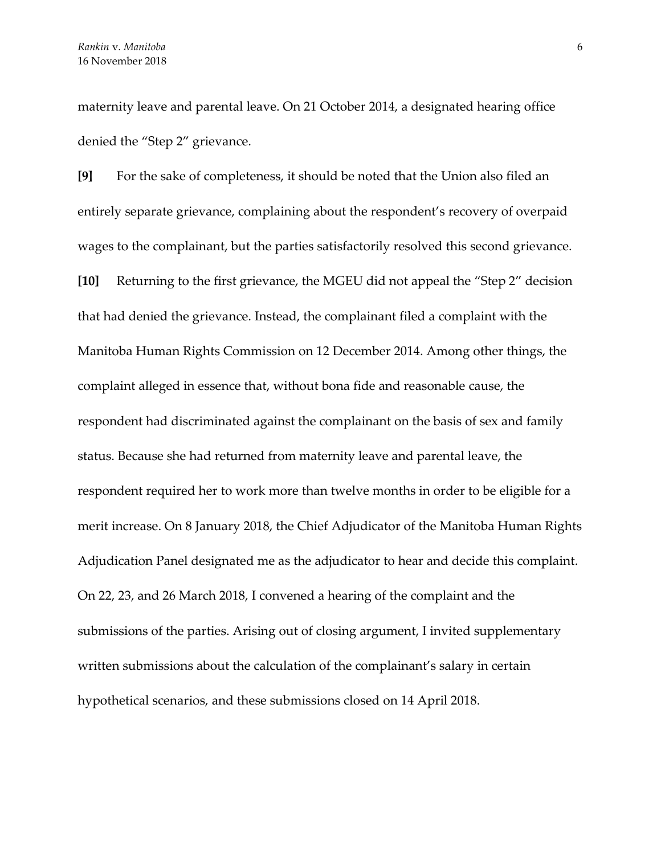maternity leave and parental leave. On 21 October 2014, a designated hearing office denied the "Step 2" grievance.

**[9]** For the sake of completeness, it should be noted that the Union also filed an entirely separate grievance, complaining about the respondent's recovery of overpaid wages to the complainant, but the parties satisfactorily resolved this second grievance. **[10]** Returning to the first grievance, the MGEU did not appeal the "Step 2" decision that had denied the grievance. Instead, the complainant filed a complaint with the Manitoba Human Rights Commission on 12 December 2014. Among other things, the complaint alleged in essence that, without bona fide and reasonable cause, the respondent had discriminated against the complainant on the basis of sex and family status. Because she had returned from maternity leave and parental leave, the respondent required her to work more than twelve months in order to be eligible for a merit increase. On 8 January 2018, the Chief Adjudicator of the Manitoba Human Rights Adjudication Panel designated me as the adjudicator to hear and decide this complaint. On 22, 23, and 26 March 2018, I convened a hearing of the complaint and the submissions of the parties. Arising out of closing argument, I invited supplementary written submissions about the calculation of the complainant's salary in certain hypothetical scenarios, and these submissions closed on 14 April 2018.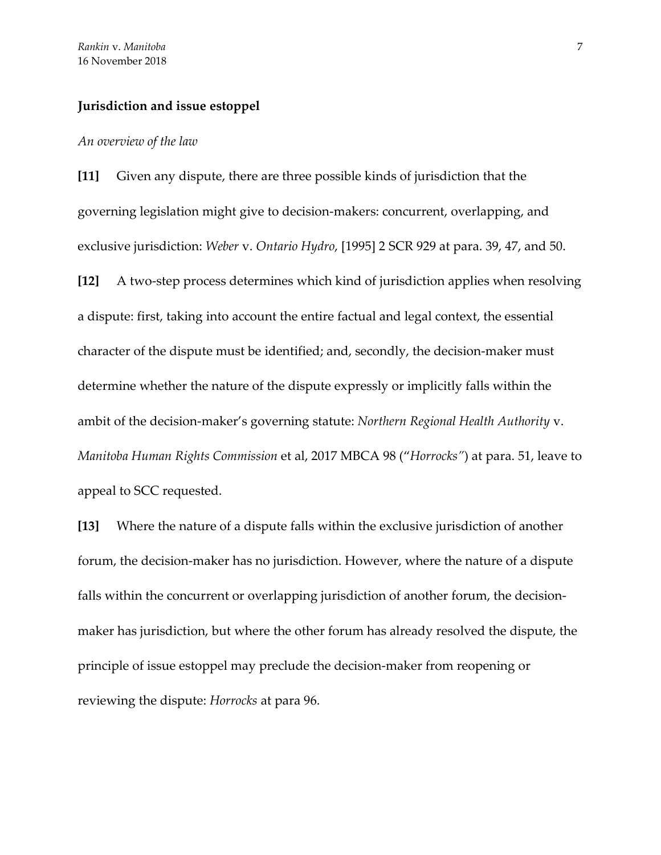#### **Jurisdiction and issue estoppel**

#### *An overview of the law*

**[11]** Given any dispute, there are three possible kinds of jurisdiction that the governing legislation might give to decision-makers: concurrent, overlapping, and exclusive jurisdiction: *Weber* v. *Ontario Hydro*, [1995] 2 SCR 929 at para. 39, 47, and 50.

**[12]** A two-step process determines which kind of jurisdiction applies when resolving a dispute: first, taking into account the entire factual and legal context, the essential character of the dispute must be identified; and, secondly, the decision-maker must determine whether the nature of the dispute expressly or implicitly falls within the ambit of the decision-maker's governing statute: *Northern Regional Health Authority* v. *Manitoba Human Rights Commission* et al, 2017 MBCA 98 ("*Horrocks"*) at para. 51, leave to appeal to SCC requested.

**[13]** Where the nature of a dispute falls within the exclusive jurisdiction of another forum, the decision-maker has no jurisdiction. However, where the nature of a dispute falls within the concurrent or overlapping jurisdiction of another forum, the decisionmaker has jurisdiction, but where the other forum has already resolved the dispute, the principle of issue estoppel may preclude the decision-maker from reopening or reviewing the dispute: *Horrocks* at para 96.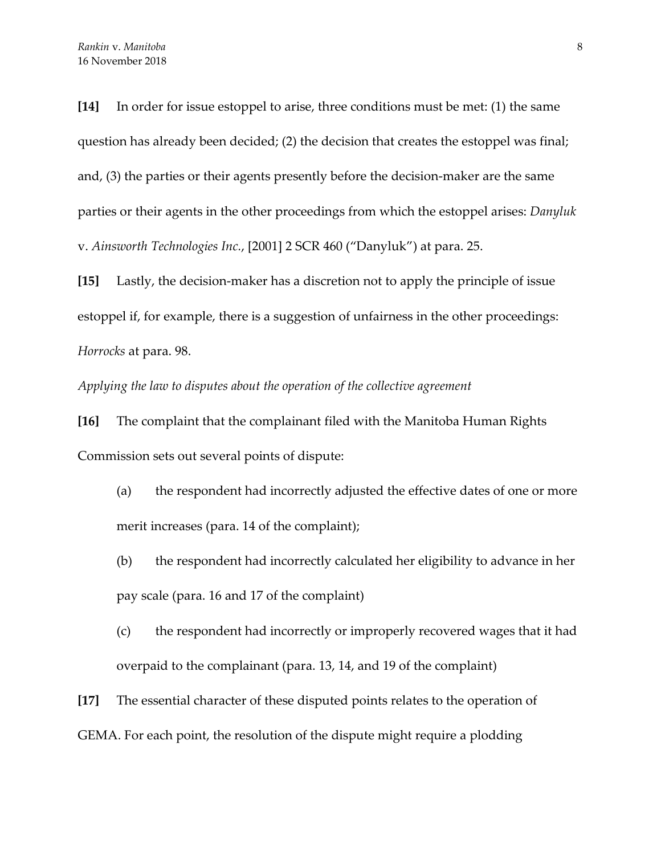**[14]** In order for issue estoppel to arise, three conditions must be met: (1) the same question has already been decided; (2) the decision that creates the estoppel was final; and, (3) the parties or their agents presently before the decision-maker are the same parties or their agents in the other proceedings from which the estoppel arises: *Danyluk* v. *Ainsworth Technologies Inc.*, [2001] 2 SCR 460 ("Danyluk") at para. 25.

**[15]** Lastly, the decision-maker has a discretion not to apply the principle of issue estoppel if, for example, there is a suggestion of unfairness in the other proceedings: *Horrocks* at para. 98.

*Applying the law to disputes about the operation of the collective agreement*

**[16]** The complaint that the complainant filed with the Manitoba Human Rights Commission sets out several points of dispute:

- (a) the respondent had incorrectly adjusted the effective dates of one or more merit increases (para. 14 of the complaint);
- (b) the respondent had incorrectly calculated her eligibility to advance in her pay scale (para. 16 and 17 of the complaint)
- (c) the respondent had incorrectly or improperly recovered wages that it had overpaid to the complainant (para. 13, 14, and 19 of the complaint)
- **[17]** The essential character of these disputed points relates to the operation of GEMA. For each point, the resolution of the dispute might require a plodding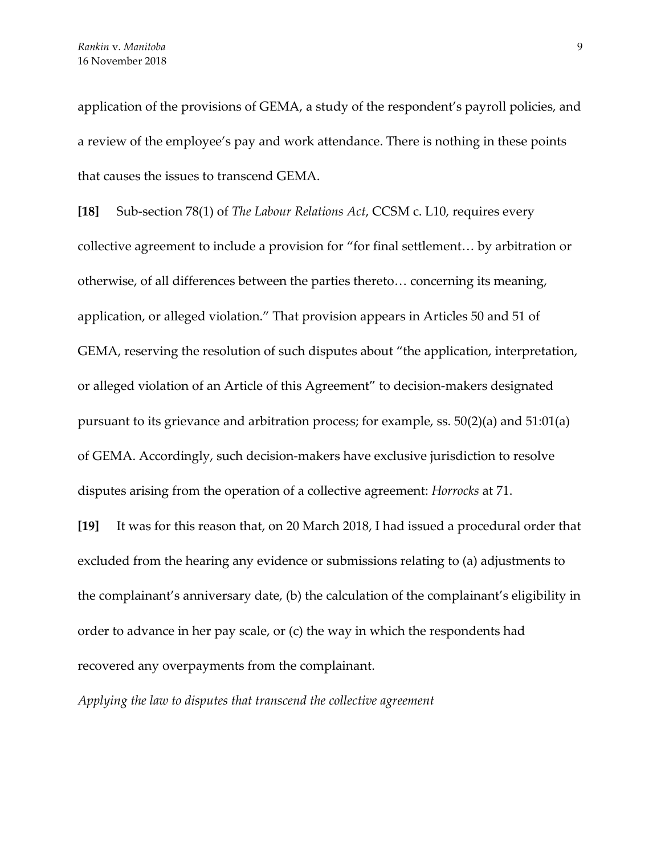application of the provisions of GEMA, a study of the respondent's payroll policies, and a review of the employee's pay and work attendance. There is nothing in these points that causes the issues to transcend GEMA.

**[18]** Sub-section 78(1) of *The Labour Relations Act*, CCSM c. L10, requires every collective agreement to include a provision for "for final settlement… by arbitration or otherwise, of all differences between the parties thereto… concerning its meaning, application, or alleged violation." That provision appears in Articles 50 and 51 of GEMA, reserving the resolution of such disputes about "the application, interpretation, or alleged violation of an Article of this Agreement" to decision-makers designated pursuant to its grievance and arbitration process; for example, ss. 50(2)(a) and 51:01(a) of GEMA. Accordingly, such decision-makers have exclusive jurisdiction to resolve disputes arising from the operation of a collective agreement: *Horrocks* at 71.

**[19]** It was for this reason that, on 20 March 2018, I had issued a procedural order that excluded from the hearing any evidence or submissions relating to (a) adjustments to the complainant's anniversary date, (b) the calculation of the complainant's eligibility in order to advance in her pay scale, or (c) the way in which the respondents had recovered any overpayments from the complainant.

*Applying the law to disputes that transcend the collective agreement*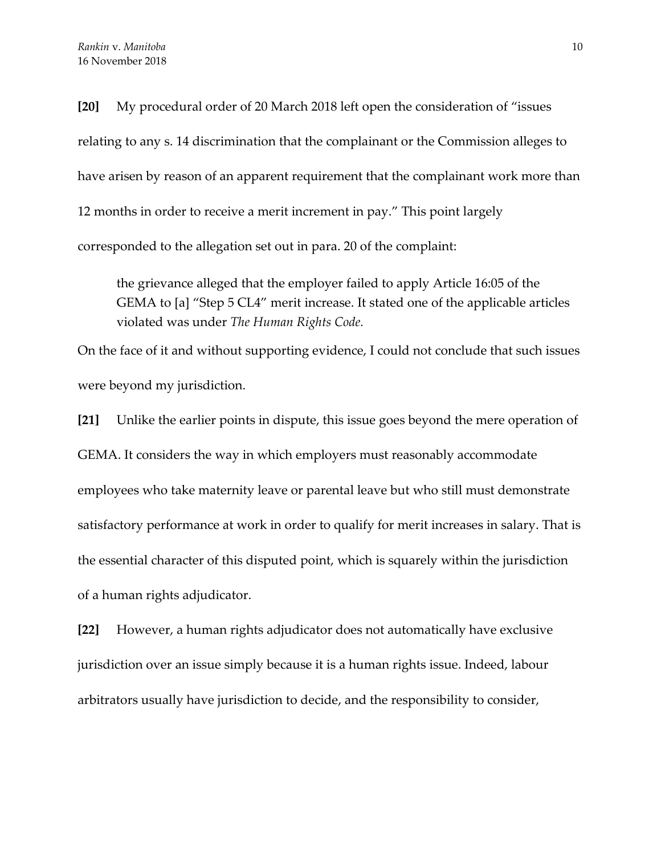**[20]** My procedural order of 20 March 2018 left open the consideration of "issues relating to any s. 14 discrimination that the complainant or the Commission alleges to have arisen by reason of an apparent requirement that the complainant work more than 12 months in order to receive a merit increment in pay." This point largely corresponded to the allegation set out in para. 20 of the complaint:

the grievance alleged that the employer failed to apply Article 16:05 of the GEMA to [a] "Step 5 CL4" merit increase. It stated one of the applicable articles violated was under *The Human Rights Code.*

On the face of it and without supporting evidence, I could not conclude that such issues were beyond my jurisdiction.

**[21]** Unlike the earlier points in dispute, this issue goes beyond the mere operation of GEMA. It considers the way in which employers must reasonably accommodate employees who take maternity leave or parental leave but who still must demonstrate satisfactory performance at work in order to qualify for merit increases in salary. That is the essential character of this disputed point, which is squarely within the jurisdiction of a human rights adjudicator.

**[22]** However, a human rights adjudicator does not automatically have exclusive jurisdiction over an issue simply because it is a human rights issue. Indeed, labour arbitrators usually have jurisdiction to decide, and the responsibility to consider,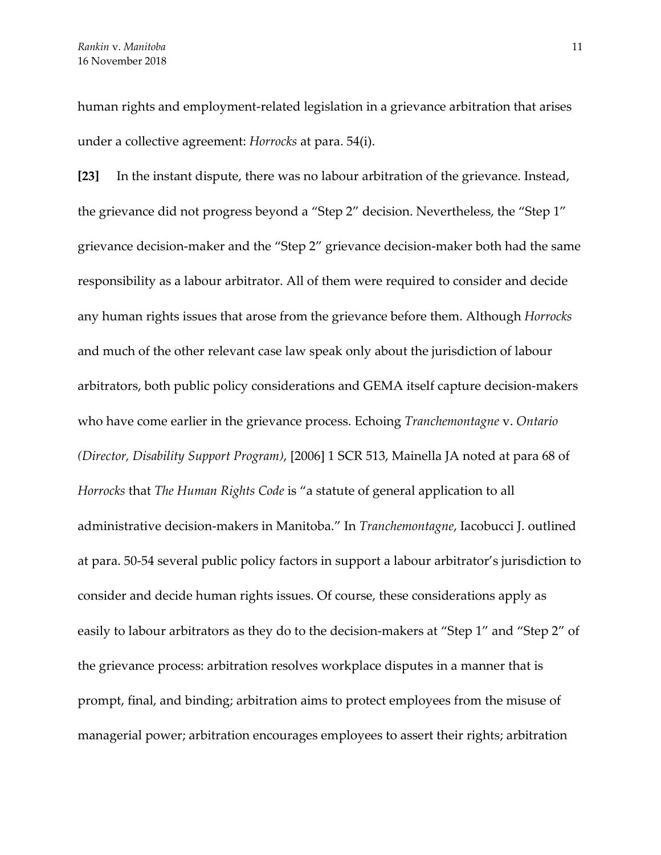human rights and employment-related legislation in a grievance arbitration that arises under a collective agreement: *Horrocks* at para. 54(i).

**[23]** In the instant dispute, there was no labour arbitration of the grievance. Instead, the grievance did not progress beyond a "Step 2" decision. Nevertheless, the "Step 1" grievance decision-maker and the "Step 2" grievance decision-maker both had the same responsibility as a labour arbitrator. All of them were required to consider and decide any human rights issues that arose from the grievance before them. Although *Horrocks* and much of the other relevant case law speak only about the jurisdiction of labour arbitrators, both public policy considerations and GEMA itself capture decision-makers who have come earlier in the grievance process. Echoing *Tranchemontagne* v. *Ontario (Director, Disability Support Program)*, [2006] 1 SCR 513, Mainella JA noted at para 68 of *Horrocks* that *The Human Rights Code* is "a statute of general application to all administrative decision-makers in Manitoba." In *Tranchemontagne*, Iacobucci J. outlined at para. 50-54 several public policy factors in support a labour arbitrator's jurisdiction to consider and decide human rights issues. Of course, these considerations apply as easily to labour arbitrators as they do to the decision-makers at "Step 1" and "Step 2" of the grievance process: arbitration resolves workplace disputes in a manner that is prompt, final, and binding; arbitration aims to protect employees from the misuse of managerial power; arbitration encourages employees to assert their rights; arbitration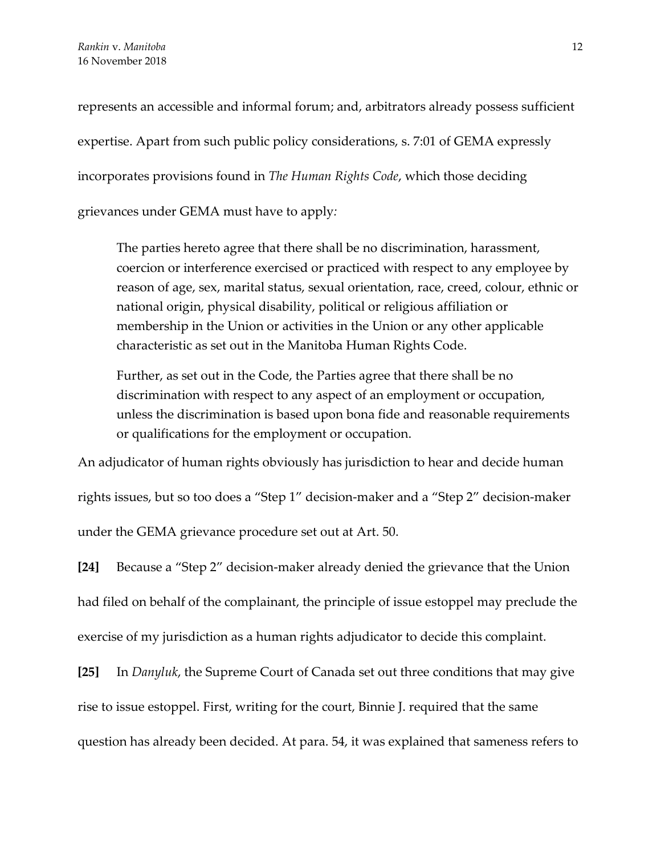represents an accessible and informal forum; and, arbitrators already possess sufficient expertise. Apart from such public policy considerations, s. 7:01 of GEMA expressly incorporates provisions found in *The Human Rights Code*, which those deciding grievances under GEMA must have to apply*:*

The parties hereto agree that there shall be no discrimination, harassment, coercion or interference exercised or practiced with respect to any employee by reason of age, sex, marital status, sexual orientation, race, creed, colour, ethnic or national origin, physical disability, political or religious affiliation or membership in the Union or activities in the Union or any other applicable characteristic as set out in the Manitoba Human Rights Code.

Further, as set out in the Code, the Parties agree that there shall be no discrimination with respect to any aspect of an employment or occupation, unless the discrimination is based upon bona fide and reasonable requirements or qualifications for the employment or occupation.

An adjudicator of human rights obviously has jurisdiction to hear and decide human

rights issues, but so too does a "Step 1" decision-maker and a "Step 2" decision-maker under the GEMA grievance procedure set out at Art. 50.

**[24]** Because a "Step 2" decision-maker already denied the grievance that the Union had filed on behalf of the complainant, the principle of issue estoppel may preclude the exercise of my jurisdiction as a human rights adjudicator to decide this complaint.

**[25]** In *Danyluk*, the Supreme Court of Canada set out three conditions that may give rise to issue estoppel. First, writing for the court, Binnie J. required that the same question has already been decided. At para. 54, it was explained that sameness refers to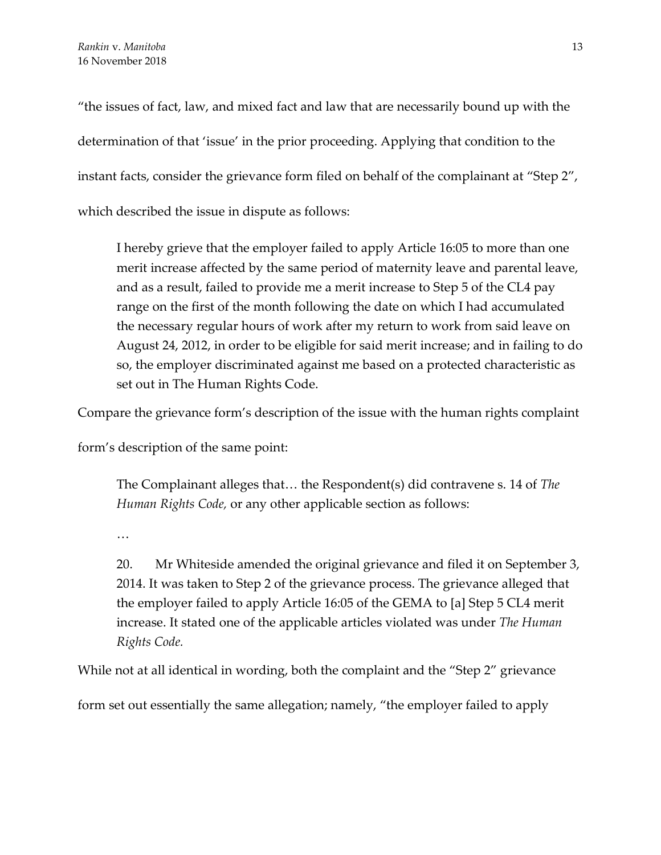"the issues of fact, law, and mixed fact and law that are necessarily bound up with the determination of that 'issue' in the prior proceeding. Applying that condition to the instant facts, consider the grievance form filed on behalf of the complainant at "Step 2", which described the issue in dispute as follows:

I hereby grieve that the employer failed to apply Article 16:05 to more than one merit increase affected by the same period of maternity leave and parental leave, and as a result, failed to provide me a merit increase to Step 5 of the CL4 pay range on the first of the month following the date on which I had accumulated the necessary regular hours of work after my return to work from said leave on August 24, 2012, in order to be eligible for said merit increase; and in failing to do so, the employer discriminated against me based on a protected characteristic as set out in The Human Rights Code.

Compare the grievance form's description of the issue with the human rights complaint

form's description of the same point:

The Complainant alleges that… the Respondent(s) did contravene s. 14 of *The Human Rights Code,* or any other applicable section as follows:

…

20. Mr Whiteside amended the original grievance and filed it on September 3, 2014. It was taken to Step 2 of the grievance process. The grievance alleged that the employer failed to apply Article 16:05 of the GEMA to [a] Step 5 CL4 merit increase. It stated one of the applicable articles violated was under *The Human Rights Code.*

While not at all identical in wording, both the complaint and the "Step 2" grievance

form set out essentially the same allegation; namely, "the employer failed to apply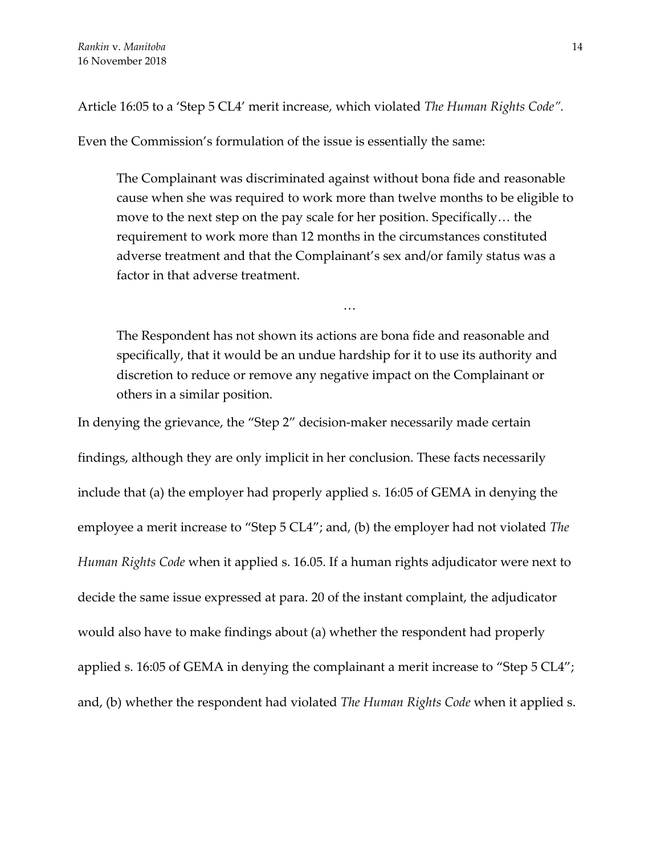Article 16:05 to a 'Step 5 CL4' merit increase, which violated *The Human Rights Code".* 

Even the Commission's formulation of the issue is essentially the same:

The Complainant was discriminated against without bona fide and reasonable cause when she was required to work more than twelve months to be eligible to move to the next step on the pay scale for her position. Specifically… the requirement to work more than 12 months in the circumstances constituted adverse treatment and that the Complainant's sex and/or family status was a factor in that adverse treatment.

…

The Respondent has not shown its actions are bona fide and reasonable and specifically, that it would be an undue hardship for it to use its authority and discretion to reduce or remove any negative impact on the Complainant or others in a similar position.

In denying the grievance, the "Step 2" decision-maker necessarily made certain findings, although they are only implicit in her conclusion. These facts necessarily include that (a) the employer had properly applied s. 16:05 of GEMA in denying the employee a merit increase to "Step 5 CL4"; and, (b) the employer had not violated *The Human Rights Code* when it applied s. 16.05. If a human rights adjudicator were next to decide the same issue expressed at para. 20 of the instant complaint, the adjudicator would also have to make findings about (a) whether the respondent had properly applied s. 16:05 of GEMA in denying the complainant a merit increase to "Step 5 CL4"; and, (b) whether the respondent had violated *The Human Rights Code* when it applied s.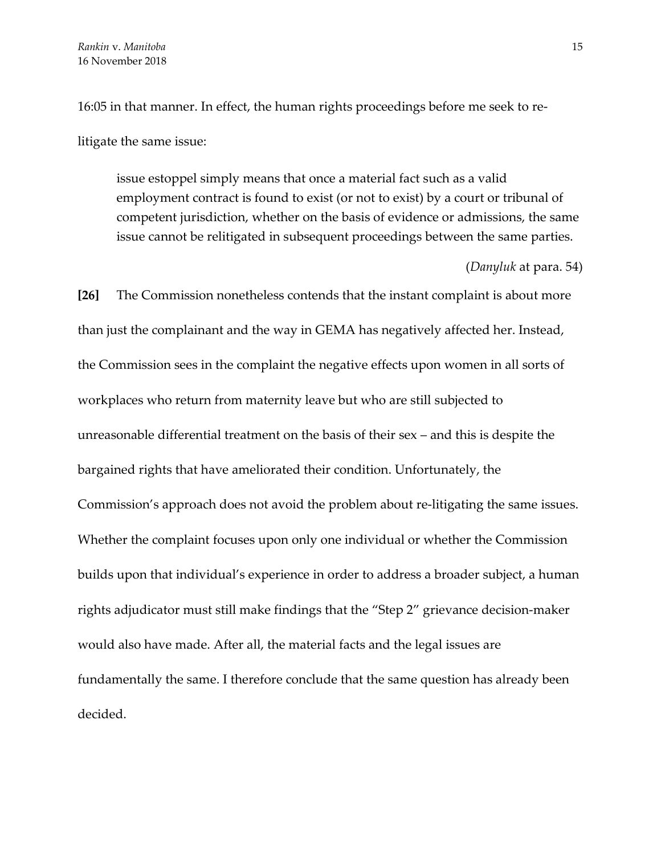16:05 in that manner. In effect, the human rights proceedings before me seek to relitigate the same issue:

issue estoppel simply means that once a material fact such as a valid employment contract is found to exist (or not to exist) by a court or tribunal of competent jurisdiction, whether on the basis of evidence or admissions, the same issue cannot be relitigated in subsequent proceedings between the same parties.

(*Danyluk* at para. 54)

**[26]** The Commission nonetheless contends that the instant complaint is about more than just the complainant and the way in GEMA has negatively affected her. Instead, the Commission sees in the complaint the negative effects upon women in all sorts of workplaces who return from maternity leave but who are still subjected to unreasonable differential treatment on the basis of their sex – and this is despite the bargained rights that have ameliorated their condition. Unfortunately, the Commission's approach does not avoid the problem about re-litigating the same issues. Whether the complaint focuses upon only one individual or whether the Commission builds upon that individual's experience in order to address a broader subject, a human rights adjudicator must still make findings that the "Step 2" grievance decision-maker would also have made. After all, the material facts and the legal issues are fundamentally the same. I therefore conclude that the same question has already been decided.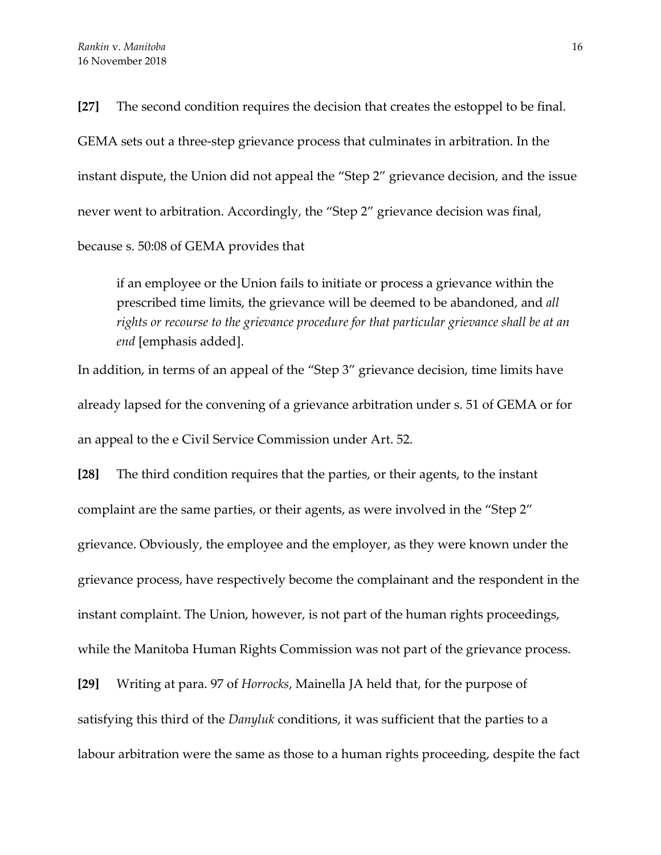**[27]** The second condition requires the decision that creates the estoppel to be final. GEMA sets out a three-step grievance process that culminates in arbitration. In the instant dispute, the Union did not appeal the "Step 2" grievance decision, and the issue never went to arbitration. Accordingly, the "Step 2" grievance decision was final, because s. 50:08 of GEMA provides that

if an employee or the Union fails to initiate or process a grievance within the prescribed time limits, the grievance will be deemed to be abandoned, and *all rights or recourse to the grievance procedure for that particular grievance shall be at an end* [emphasis added].

In addition, in terms of an appeal of the "Step 3" grievance decision, time limits have already lapsed for the convening of a grievance arbitration under s. 51 of GEMA or for an appeal to the e Civil Service Commission under Art. 52.

**[28]** The third condition requires that the parties, or their agents, to the instant complaint are the same parties, or their agents, as were involved in the "Step 2" grievance. Obviously, the employee and the employer, as they were known under the grievance process, have respectively become the complainant and the respondent in the instant complaint. The Union, however, is not part of the human rights proceedings, while the Manitoba Human Rights Commission was not part of the grievance process.

**[29]** Writing at para. 97 of *Horrocks*, Mainella JA held that, for the purpose of satisfying this third of the *Danyluk* conditions, it was sufficient that the parties to a labour arbitration were the same as those to a human rights proceeding, despite the fact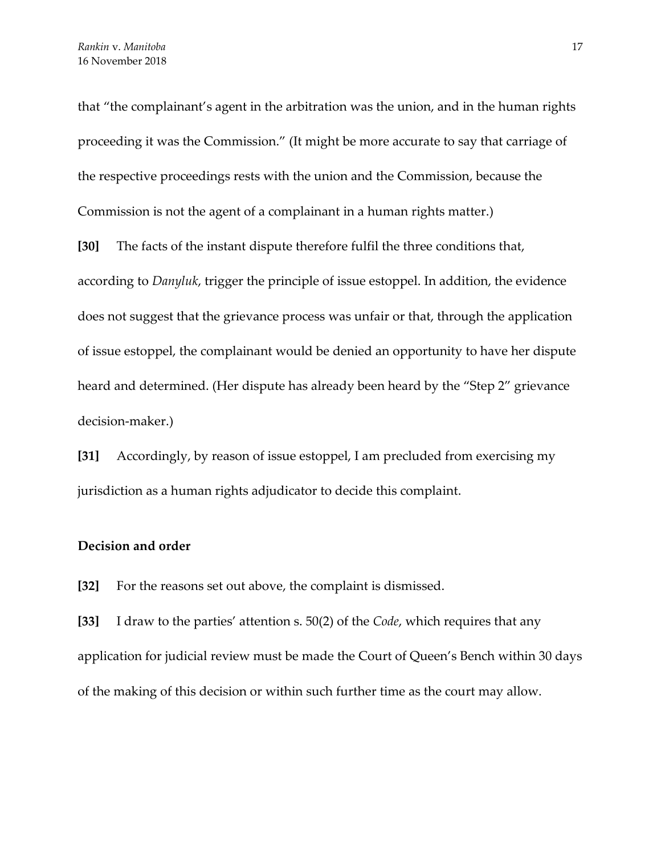that "the complainant's agent in the arbitration was the union, and in the human rights proceeding it was the Commission." (It might be more accurate to say that carriage of the respective proceedings rests with the union and the Commission, because the Commission is not the agent of a complainant in a human rights matter.)

**[30]** The facts of the instant dispute therefore fulfil the three conditions that, according to *Danyluk*, trigger the principle of issue estoppel. In addition, the evidence does not suggest that the grievance process was unfair or that, through the application of issue estoppel, the complainant would be denied an opportunity to have her dispute heard and determined. (Her dispute has already been heard by the "Step 2" grievance decision-maker.)

**[31]** Accordingly, by reason of issue estoppel, I am precluded from exercising my jurisdiction as a human rights adjudicator to decide this complaint.

## **Decision and order**

**[32]** For the reasons set out above, the complaint is dismissed.

**[33]** I draw to the parties' attention s. 50(2) of the *Code*, which requires that any application for judicial review must be made the Court of Queen's Bench within 30 days of the making of this decision or within such further time as the court may allow.